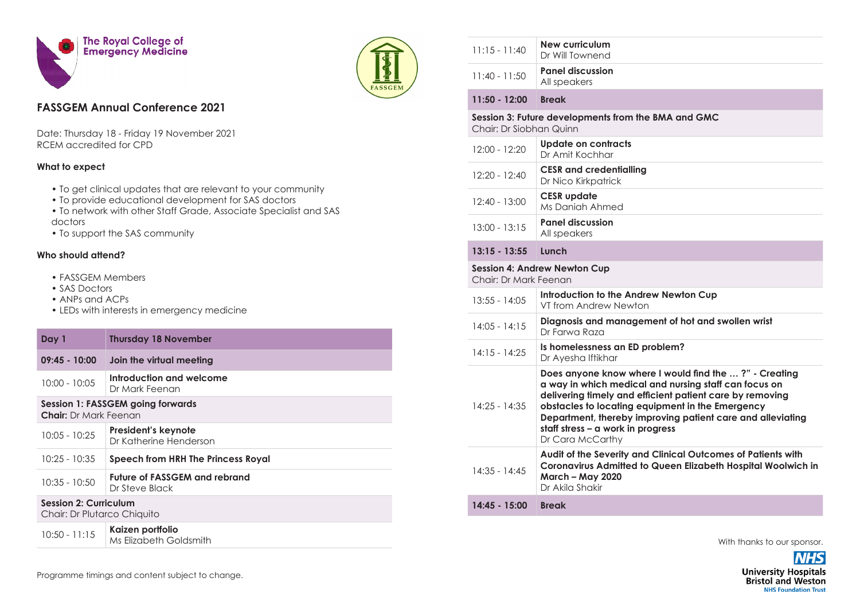



## **FASSGEM Annual Conference 2021**

Date: Thursday 18 - Friday 19 November 2021 RCEM accredited for CPD

## **What to expect**

- To get clinical updates that are relevant to your community
- To provide educational development for SAS doctors
- To network with other Staff Grade, Associate Specialist and SAS doctors
- To support the SAS community

## **Who should attend?**

- FASSGEM Members
- SAS Doctors
- ANPs and ACPs
- LEDs with interests in emergency medicine

| Day 1                                                                    | <b>Thursday 18 November</b>                     |  |
|--------------------------------------------------------------------------|-------------------------------------------------|--|
| $09:45 - 10:00$                                                          | Join the virtual meeting                        |  |
| $10:00 - 10:05$                                                          | Introduction and welcome<br>Dr Mark Feenan      |  |
| <b>Session 1: FASSGEM going forwards</b><br><b>Chair:</b> Dr Mark Feenan |                                                 |  |
| $10:05 - 10:25$                                                          | President's keynote<br>Dr Katherine Henderson   |  |
| $10:25 - 10:35$                                                          | Speech from HRH The Princess Royal              |  |
| $10:35 - 10:50$                                                          | Future of FASSGEM and rebrand<br>Dr Steve Black |  |
| <b>Session 2: Curriculum</b><br>Chair: Dr Plutarco Chiquito              |                                                 |  |
| $10:50 - 11:15$                                                          | Kaizen portfolio<br>Ms Elizabeth Goldsmith      |  |

| $11:15 - 11:40$                                                                | <b>New curriculum</b><br>Dr Will Townend                                                                                                                                                                                                                                                                                                              |  |  |
|--------------------------------------------------------------------------------|-------------------------------------------------------------------------------------------------------------------------------------------------------------------------------------------------------------------------------------------------------------------------------------------------------------------------------------------------------|--|--|
| $11:40 - 11:50$                                                                | <b>Panel discussion</b><br>All speakers                                                                                                                                                                                                                                                                                                               |  |  |
| $11:50 - 12:00$                                                                | <b>Break</b>                                                                                                                                                                                                                                                                                                                                          |  |  |
| Session 3: Future developments from the BMA and GMC<br>Chair: Dr Siobhan Quinn |                                                                                                                                                                                                                                                                                                                                                       |  |  |
| $12:00 - 12:20$                                                                | <b>Update on contracts</b><br>Dr Amit Kochhar                                                                                                                                                                                                                                                                                                         |  |  |
| 12:20 - 12:40                                                                  | <b>CESR</b> and credentialling<br>Dr Nico Kirkpatrick                                                                                                                                                                                                                                                                                                 |  |  |
| 12:40 - 13:00                                                                  | <b>CESR</b> update<br>Ms Daniah Ahmed                                                                                                                                                                                                                                                                                                                 |  |  |
| $13:00 - 13:15$                                                                | <b>Panel discussion</b><br>All speakers                                                                                                                                                                                                                                                                                                               |  |  |
| $13:15 - 13:55$                                                                | Lunch                                                                                                                                                                                                                                                                                                                                                 |  |  |
|                                                                                | <b>Session 4: Andrew Newton Cup</b><br>Chair: Dr Mark Feenan                                                                                                                                                                                                                                                                                          |  |  |
| $13:55 - 14:05$                                                                | Introduction to the Andrew Newton Cup<br>VT from Andrew Newton                                                                                                                                                                                                                                                                                        |  |  |
| $14:05 - 14:15$                                                                | Diagnosis and management of hot and swollen wrist<br>Dr Farwa Raza                                                                                                                                                                                                                                                                                    |  |  |
| $14:15 - 14:25$                                                                | Is homelessness an ED problem?<br>Dr Ayesha Iftikhar                                                                                                                                                                                                                                                                                                  |  |  |
| $14:25 - 14:35$                                                                | Does anyone know where I would find the ?" - Creating<br>a way in which medical and nursing staff can focus on<br>delivering timely and efficient patient care by removing<br>obstacles to locating equipment in the Emergency<br>Department, thereby improving patient care and alleviating<br>staff stress - a work in progress<br>Dr Cara McCarthy |  |  |
| $14:35 - 14:45$                                                                | Audit of the Severity and Clinical Outcomes of Patients with<br>Coronavirus Admitted to Queen Elizabeth Hospital Woolwich in<br><b>March - May 2020</b><br>Dr Akila Shakir                                                                                                                                                                            |  |  |
| 14:45 - 15:00                                                                  | <b>Break</b>                                                                                                                                                                                                                                                                                                                                          |  |  |
|                                                                                |                                                                                                                                                                                                                                                                                                                                                       |  |  |

With thanks to our sponsor.

**NHS University Hospitals Bristol and Weston NHS Foundation Trust**